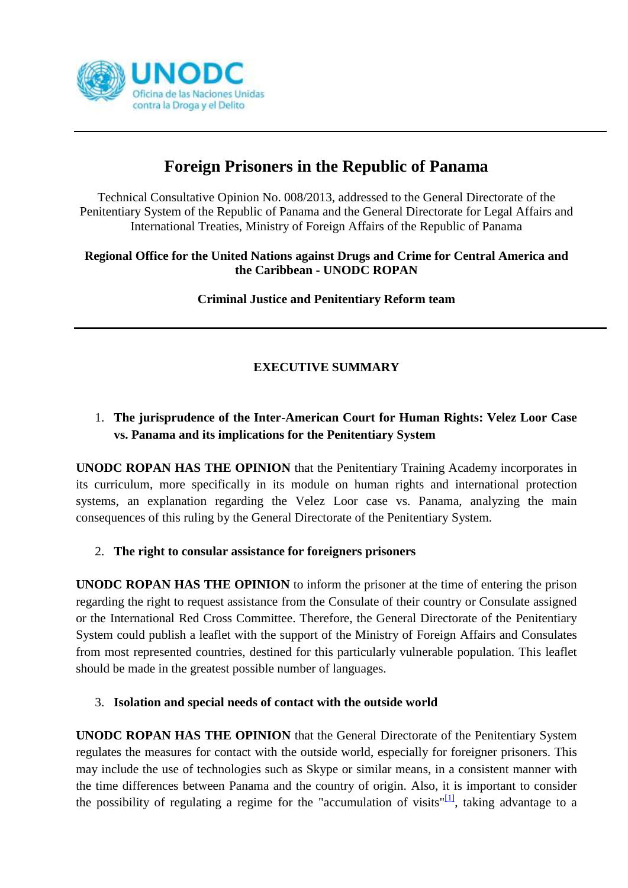

# **Foreign Prisoners in the Republic of Panama**

Technical Consultative Opinion No. 008/2013, addressed to the General Directorate of the Penitentiary System of the Republic of Panama and the General Directorate for Legal Affairs and International Treaties, Ministry of Foreign Affairs of the Republic of Panama

#### **Regional Office for the United Nations against Drugs and Crime for Central America and the Caribbean - UNODC ROPAN**

**Criminal Justice and Penitentiary Reform team**

## **EXECUTIVE SUMMARY**

## 1. **The jurisprudence of the Inter-American Court for Human Rights: Velez Loor Case vs. Panama and its implications for the Penitentiary System**

**UNODC ROPAN HAS THE OPINION** that the Penitentiary Training Academy incorporates in its curriculum, more specifically in its module on human rights and international protection systems, an explanation regarding the Velez Loor case vs. Panama, analyzing the main consequences of this ruling by the General Directorate of the Penitentiary System.

### 2. **The right to consular assistance for foreigners prisoners**

**UNODC ROPAN HAS THE OPINION** to inform the prisoner at the time of entering the prison regarding the right to request assistance from the Consulate of their country or Consulate assigned or the International Red Cross Committee. Therefore, the General Directorate of the Penitentiary System could publish a leaflet with the support of the Ministry of Foreign Affairs and Consulates from most represented countries, destined for this particularly vulnerable population. This leaflet should be made in the greatest possible number of languages.

#### 3. **Isolation and special needs of contact with the outside world**

**UNODC ROPAN HAS THE OPINION** that the General Directorate of the Penitentiary System regulates the measures for contact with the outside world, especially for foreigner prisoners. This may include the use of technologies such as Skype or similar means, in a consistent manner with the time differences between Panama and the country of origin. Also, it is important to consider the possibility of regulating a regime for the "accumulation of visits" $\frac{1}{1}$ , taking advantage to a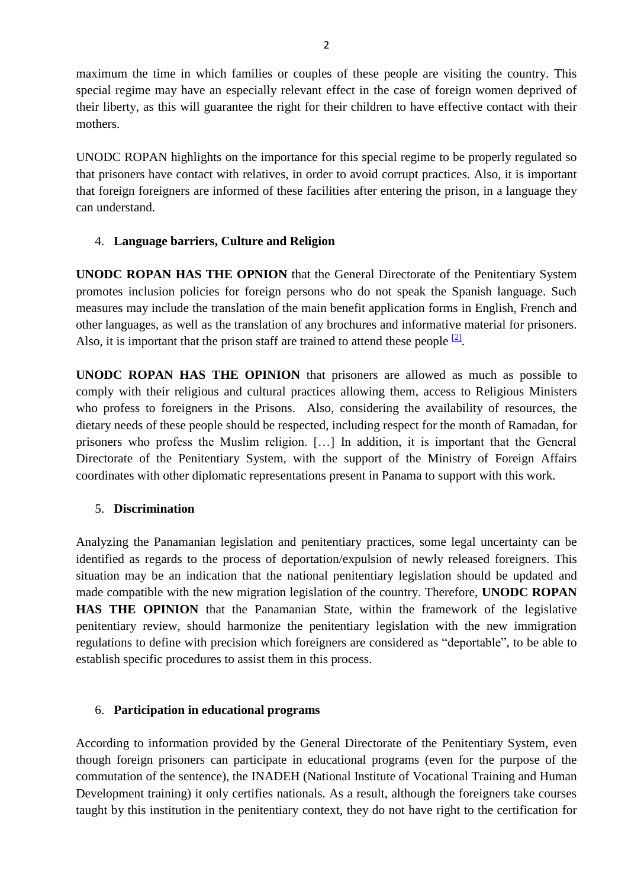maximum the time in which families or couples of these people are visiting the country. This special regime may have an especially relevant effect in the case of foreign women deprived of their liberty, as this will guarantee the right for their children to have effective contact with their mothers.

UNODC ROPAN highlights on the importance for this special regime to be properly regulated so that prisoners have contact with relatives, in order to avoid corrupt practices. Also, it is important that foreign foreigners are informed of these facilities after entering the prison, in a language they can understand.

#### 4. **Language barriers, Culture and Religion**

**UNODC ROPAN HAS THE OPNION** that the General Directorate of the Penitentiary System promotes inclusion policies for foreign persons who do not speak the Spanish language. Such measures may include the translation of the main benefit application forms in English, French and other languages, as well as the translation of any brochures and informative material for prisoners. Also, it is important that the prison staff are trained to attend these people  $\frac{2}{2}$ .

**UNODC ROPAN HAS THE OPINION** that prisoners are allowed as much as possible to comply with their religious and cultural practices allowing them, access to Religious Ministers who profess to foreigners in the Prisons. Also, considering the availability of resources, the dietary needs of these people should be respected, including respect for the month of Ramadan, for prisoners who profess the Muslim religion. […] In addition, it is important that the General Directorate of the Penitentiary System, with the support of the Ministry of Foreign Affairs coordinates with other diplomatic representations present in Panama to support with this work.

#### 5. **Discrimination**

Analyzing the Panamanian legislation and penitentiary practices, some legal uncertainty can be identified as regards to the process of deportation/expulsion of newly released foreigners. This situation may be an indication that the national penitentiary legislation should be updated and made compatible with the new migration legislation of the country. Therefore, **UNODC ROPAN HAS THE OPINION** that the Panamanian State, within the framework of the legislative penitentiary review, should harmonize the penitentiary legislation with the new immigration regulations to define with precision which foreigners are considered as "deportable", to be able to establish specific procedures to assist them in this process.

#### 6. **Participation in educational programs**

According to information provided by the General Directorate of the Penitentiary System, even though foreign prisoners can participate in educational programs (even for the purpose of the commutation of the sentence), the INADEH (National Institute of Vocational Training and Human Development training) it only certifies nationals. As a result, although the foreigners take courses taught by this institution in the penitentiary context, they do not have right to the certification for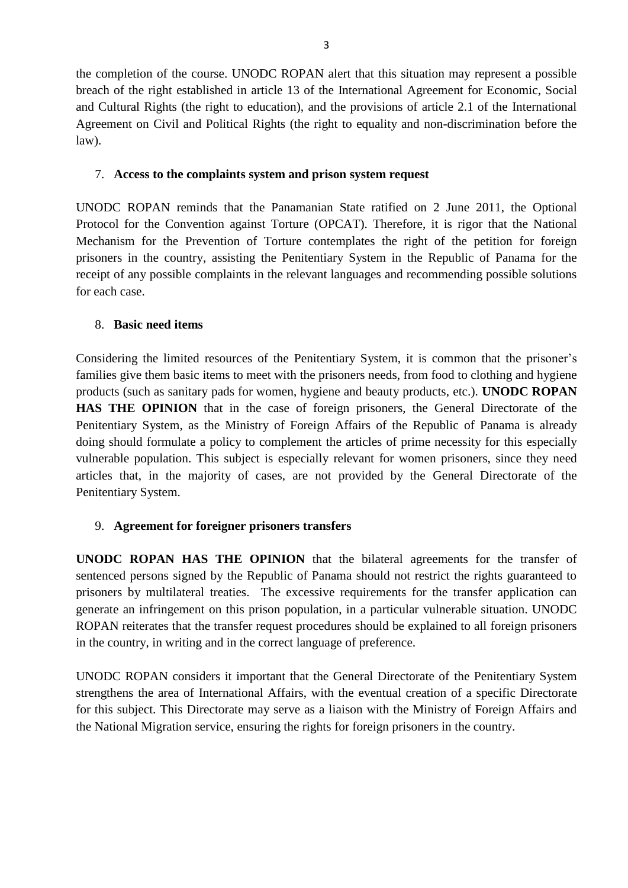the completion of the course. UNODC ROPAN alert that this situation may represent a possible breach of the right established in article 13 of the International Agreement for Economic, Social and Cultural Rights (the right to education), and the provisions of article 2.1 of the International Agreement on Civil and Political Rights (the right to equality and non-discrimination before the law).

#### 7. **Access to the complaints system and prison system request**

UNODC ROPAN reminds that the Panamanian State ratified on 2 June 2011, the Optional Protocol for the Convention against Torture (OPCAT). Therefore, it is rigor that the National Mechanism for the Prevention of Torture contemplates the right of the petition for foreign prisoners in the country, assisting the Penitentiary System in the Republic of Panama for the receipt of any possible complaints in the relevant languages and recommending possible solutions for each case.

#### 8. **Basic need items**

Considering the limited resources of the Penitentiary System, it is common that the prisoner's families give them basic items to meet with the prisoners needs, from food to clothing and hygiene products (such as sanitary pads for women, hygiene and beauty products, etc.). **UNODC ROPAN HAS THE OPINION** that in the case of foreign prisoners, the General Directorate of the Penitentiary System, as the Ministry of Foreign Affairs of the Republic of Panama is already doing should formulate a policy to complement the articles of prime necessity for this especially vulnerable population. This subject is especially relevant for women prisoners, since they need articles that, in the majority of cases, are not provided by the General Directorate of the Penitentiary System.

#### 9. **Agreement for foreigner prisoners transfers**

**UNODC ROPAN HAS THE OPINION** that the bilateral agreements for the transfer of sentenced persons signed by the Republic of Panama should not restrict the rights guaranteed to prisoners by multilateral treaties. The excessive requirements for the transfer application can generate an infringement on this prison population, in a particular vulnerable situation. UNODC ROPAN reiterates that the transfer request procedures should be explained to all foreign prisoners in the country, in writing and in the correct language of preference.

UNODC ROPAN considers it important that the General Directorate of the Penitentiary System strengthens the area of International Affairs, with the eventual creation of a specific Directorate for this subject. This Directorate may serve as a liaison with the Ministry of Foreign Affairs and the National Migration service, ensuring the rights for foreign prisoners in the country.